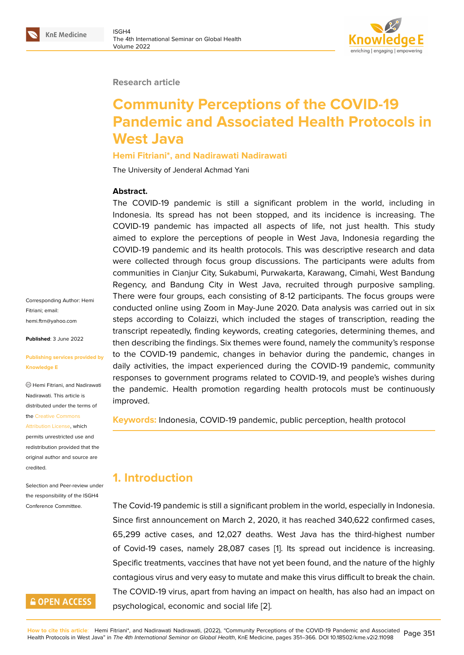

#### **Research article**

# **Community Perceptions of the COVID-19 Pandemic and Associated Health Protocols in West Java**

#### **Hemi Fitriani\*, and Nadirawati Nadirawati**

The University of Jenderal Achmad Yani

#### **Abstract.**

The COVID-19 pandemic is still a significant problem in the world, including in Indonesia. Its spread has not been stopped, and its incidence is increasing. The COVID-19 pandemic has impacted all aspects of life, not just health. This study aimed to explore the perceptions of people in West Java, Indonesia regarding the COVID-19 pandemic and its health protocols. This was descriptive research and data were collected through focus group discussions. The participants were adults from communities in Cianjur City, Sukabumi, Purwakarta, Karawang, Cimahi, West Bandung Regency, and Bandung City in West Java, recruited through purposive sampling. There were four groups, each consisting of 8-12 participants. The focus groups were conducted online using Zoom in May-June 2020. Data analysis was carried out in six steps according to Colaizzi, which included the stages of transcription, reading the transcript repeatedly, finding keywords, creating categories, determining themes, and then describing the findings. Six themes were found, namely the community's response to the COVID-19 pandemic, changes in behavior during the pandemic, changes in daily activities, the impact experienced during the COVID-19 pandemic, community responses to government programs related to COVID-19, and people's wishes during the pandemic. Health promotion regarding health protocols must be continuously improved.

**Keywords:** Indonesia, COVID-19 pandemic, public perception, health protocol

## **1. Introduction**

The Covid-19 pandemic is still a significant problem in the world, especially in Indonesia. Since first announcement on March 2, 2020, it has reached 340,622 confirmed cases, 65,299 active cases, and 12,027 deaths. West Java has the third-highest number of Covid-19 cases, namely 28,087 cases [1]. Its spread out incidence is increasing. Specific treatments, vaccines that have not yet been found, and the nature of the highly contagious virus and very easy to mutate and make this virus difficult to break the chain. The COVID-19 virus, apart from having an i[m](#page-13-0)pact on health, has also had an impact on psychological, economic and social life [2].

Corresponding Author: Hemi Fitriani; email: hemi.ftrn@yahoo.com

**Published**: 3 June 2022

#### **[Publishing services p](mailto:hemi.ftrn@yahoo.com)rovided by Knowledge E**

Hemi Fitriani, and Nadirawati Nadirawati. This article is distributed under the terms of the Creative Commons

Attribution License, which permits unrestricted use and redistribution provided that the orig[inal author and sou](https://creativecommons.org/licenses/by/4.0/)rce are [credited.](https://creativecommons.org/licenses/by/4.0/)

Selection and Peer-review under the responsibility of the ISGH4 Conference Committee.

## **GOPEN ACCESS**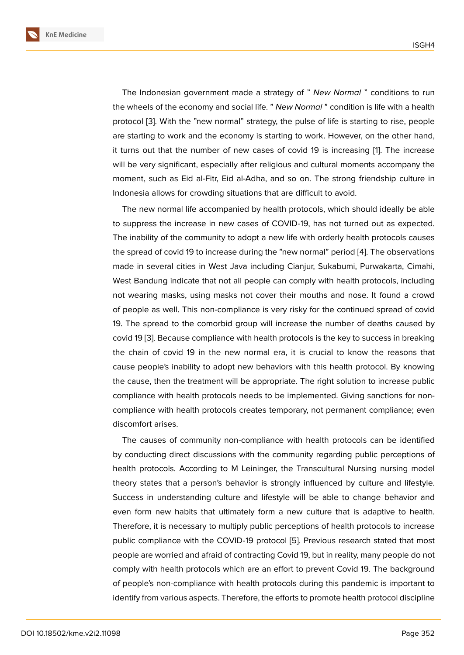The Indonesian government made a strategy of " *New Normal* " conditions to run the wheels of the economy and social life. " *New Normal* " condition is life with a health protocol [3]. With the "new normal" strategy, the pulse of life is starting to rise, people are starting to work and the economy is starting to work. However, on the other hand, it turns out that the number of new cases of covid 19 is increasing [1]. The increase will be v[ery](#page-13-1) significant, especially after religious and cultural moments accompany the moment, such as Eid al-Fitr, Eid al-Adha, and so on. The strong friendship culture in Indonesia allows for crowding situations that are difficult to avoid.

The new normal life accompanied by health protocols, which should ideally be able to suppress the increase in new cases of COVID-19, has not turned out as expected. The inability of the community to adopt a new life with orderly health protocols causes the spread of covid 19 to increase during the "new normal" period [4]. The observations made in several cities in West Java including Cianjur, Sukabumi, Purwakarta, Cimahi, West Bandung indicate that not all people can comply with health protocols, including not wearing masks, using masks not cover their mouths and no[se](#page-13-2). It found a crowd of people as well. This non-compliance is very risky for the continued spread of covid 19. The spread to the comorbid group will increase the number of deaths caused by covid 19 [3]. Because compliance with health protocols is the key to success in breaking the chain of covid 19 in the new normal era, it is crucial to know the reasons that cause people's inability to adopt new behaviors with this health protocol. By knowing the caus[e,](#page-13-1) then the treatment will be appropriate. The right solution to increase public compliance with health protocols needs to be implemented. Giving sanctions for noncompliance with health protocols creates temporary, not permanent compliance; even discomfort arises.

The causes of community non-compliance with health protocols can be identified by conducting direct discussions with the community regarding public perceptions of health protocols. According to M Leininger, the Transcultural Nursing nursing model theory states that a person's behavior is strongly influenced by culture and lifestyle. Success in understanding culture and lifestyle will be able to change behavior and even form new habits that ultimately form a new culture that is adaptive to health. Therefore, it is necessary to multiply public perceptions of health protocols to increase public compliance with the COVID-19 protocol [5]. Previous research stated that most people are worried and afraid of contracting Covid 19, but in reality, many people do not comply with health protocols which are an effort to prevent Covid 19. The background of people's non-compliance with health protoco[ls](#page-13-3) during this pandemic is important to identify from various aspects. Therefore, the efforts to promote health protocol discipline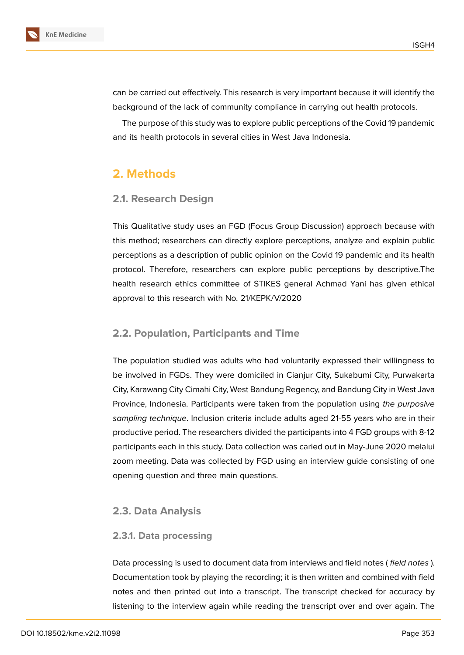

can be carried out effectively. This research is very important because it will identify the background of the lack of community compliance in carrying out health protocols.

The purpose of this study was to explore public perceptions of the Covid 19 pandemic and its health protocols in several cities in West Java Indonesia.

## **2. Methods**

#### **2.1. Research Design**

This Qualitative study uses an FGD (Focus Group Discussion) approach because with this method; researchers can directly explore perceptions, analyze and explain public perceptions as a description of public opinion on the Covid 19 pandemic and its health protocol. Therefore, researchers can explore public perceptions by descriptive.The health research ethics committee of STIKES general Achmad Yani has given ethical approval to this research with No. 21/KEPK/V/2020

#### **2.2. Population, Participants and Time**

The population studied was adults who had voluntarily expressed their willingness to be involved in FGDs. They were domiciled in Cianjur City, Sukabumi City, Purwakarta City, Karawang City Cimahi City, West Bandung Regency, and Bandung City in West Java Province, Indonesia. Participants were taken from the population using *the purposive sampling technique*. Inclusion criteria include adults aged 21-55 years who are in their productive period. The researchers divided the participants into 4 FGD groups with 8-12 participants each in this study. Data collection was caried out in May-June 2020 melalui zoom meeting. Data was collected by FGD using an interview guide consisting of one opening question and three main questions.

#### **2.3. Data Analysis**

#### **2.3.1. Data processing**

Data processing is used to document data from interviews and field notes ( *field notes* ). Documentation took by playing the recording; it is then written and combined with field notes and then printed out into a transcript. The transcript checked for accuracy by listening to the interview again while reading the transcript over and over again. The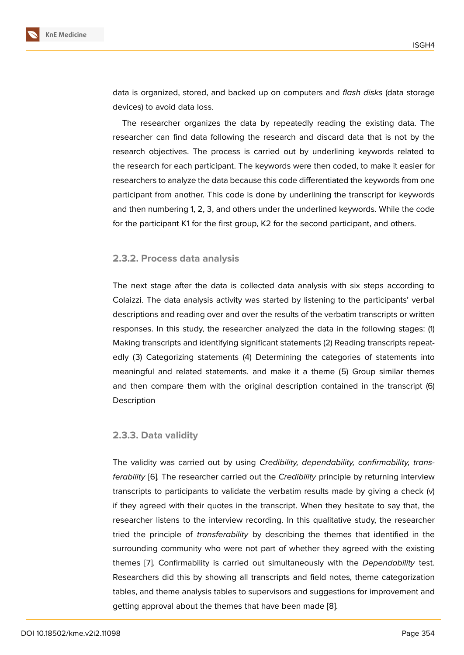data is organized, stored, and backed up on computers and *flash disks* (data storage devices) to avoid data loss.

The researcher organizes the data by repeatedly reading the existing data. The researcher can find data following the research and discard data that is not by the research objectives. The process is carried out by underlining keywords related to the research for each participant. The keywords were then coded, to make it easier for researchers to analyze the data because this code differentiated the keywords from one participant from another. This code is done by underlining the transcript for keywords and then numbering 1, 2, 3, and others under the underlined keywords. While the code for the participant K1 for the first group, K2 for the second participant, and others.

#### **2.3.2. Process data analysis**

The next stage after the data is collected data analysis with six steps according to Colaizzi. The data analysis activity was started by listening to the participants' verbal descriptions and reading over and over the results of the verbatim transcripts or written responses. In this study, the researcher analyzed the data in the following stages: (1) Making transcripts and identifying significant statements (2) Reading transcripts repeatedly (3) Categorizing statements (4) Determining the categories of statements into meaningful and related statements. and make it a theme (5) Group similar themes and then compare them with the original description contained in the transcript (6) **Description** 

#### **2.3.3. Data validity**

The validity was carried out by using *Credibility, dependability, confirmability, transferability* [6]*.* The researcher carried out the *Credibility* principle by returning interview transcripts to participants to validate the verbatim results made by giving a check (v) if they agreed with their quotes in the transcript. When they hesitate to say that, the researche[r](#page-14-0) listens to the interview recording. In this qualitative study, the researcher tried the principle of *transferability* by describing the themes that identified in the surrounding community who were not part of whether they agreed with the existing themes [7]. Confirmability is carried out simultaneously with the *Dependability* test. Researchers did this by showing all transcripts and field notes, theme categorization tables, and theme analysis tables to supervisors and suggestions for improvement and getting a[pp](#page-14-1)roval about the themes that have been made [8].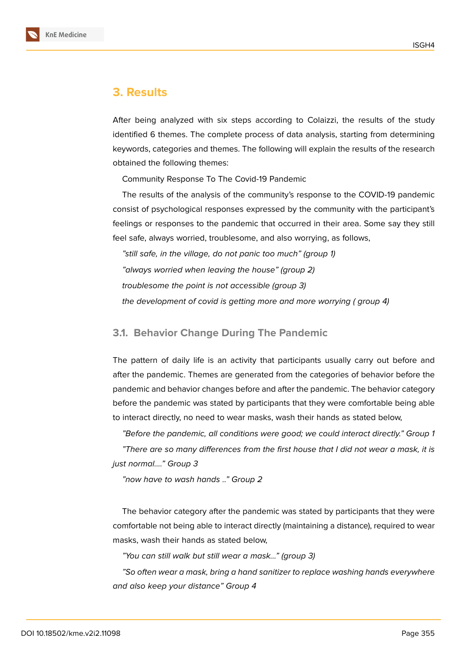

#### **3. Results**

After being analyzed with six steps according to Colaizzi, the results of the study identified 6 themes. The complete process of data analysis, starting from determining keywords, categories and themes. The following will explain the results of the research obtained the following themes:

Community Response To The Covid-19 Pandemic

The results of the analysis of the community's response to the COVID-19 pandemic consist of psychological responses expressed by the community with the participant's feelings or responses to the pandemic that occurred in their area. Some say they still feel safe, always worried, troublesome, and also worrying, as follows,

*"still safe, in the village, do not panic too much" (group 1) "always worried when leaving the house" (group 2) troublesome the point is not accessible (group 3) the development of covid is getting more and more worrying ( group 4)*

#### **3.1. Behavior Change During The Pandemic**

The pattern of daily life is an activity that participants usually carry out before and after the pandemic. Themes are generated from the categories of behavior before the pandemic and behavior changes before and after the pandemic. The behavior category before the pandemic was stated by participants that they were comfortable being able to interact directly, no need to wear masks, wash their hands as stated below,

*"Before the pandemic, all conditions were good; we could interact directly." Group 1*

*"There are so many differences from the first house that I did not wear a mask, it is just normal…." Group 3*

*"now have to wash hands .." Group 2*

The behavior category after the pandemic was stated by participants that they were comfortable not being able to interact directly (maintaining a distance), required to wear masks, wash their hands as stated below,

*"You can still walk but still wear a mask..." (group 3)*

*"So often wear a mask, bring a hand sanitizer to replace washing hands everywhere and also keep your distance" Group 4*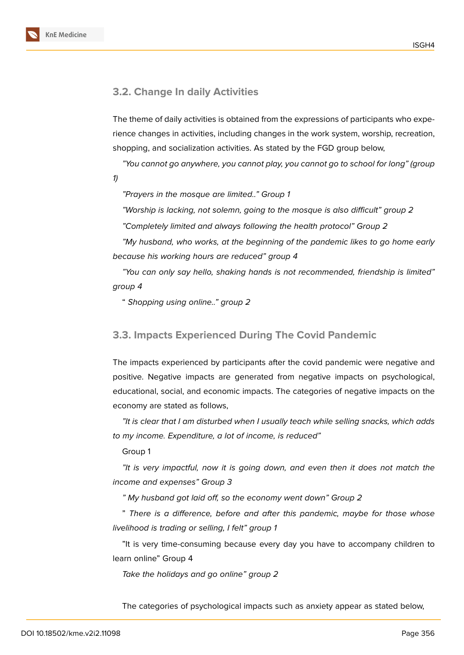

#### **3.2. Change In daily Activities**

The theme of daily activities is obtained from the expressions of participants who experience changes in activities, including changes in the work system, worship, recreation, shopping, and socialization activities. As stated by the FGD group below,

*"You cannot go anywhere, you cannot play, you cannot go to school for long" (group*

*1)*

*"Prayers in the mosque are limited.." Group 1*

*"Worship is lacking, not solemn, going to the mosque is also difficult" group 2 "Completely limited and always following the health protocol" Group 2*

*"My husband, who works, at the beginning of the pandemic likes to go home early because his working hours are reduced" group 4*

*"You can only say hello, shaking hands is not recommended, friendship is limited" group 4*

" *Shopping using online.." group 2*

#### **3.3. Impacts Experienced During The Covid Pandemic**

The impacts experienced by participants after the covid pandemic were negative and positive. Negative impacts are generated from negative impacts on psychological, educational, social, and economic impacts. The categories of negative impacts on the economy are stated as follows,

*"It is clear that I am disturbed when I usually teach while selling snacks, which adds to my income. Expenditure, a lot of income, is reduced"*

Group 1

*"It is very impactful, now it is going down, and even then it does not match the income and expenses" Group 3*

*" My husband got laid off, so the economy went down" Group 2*

" *There is a difference, before and after this pandemic, maybe for those whose livelihood is trading or selling, I felt" group 1*

"It is very time-consuming because every day you have to accompany children to learn online" Group 4

*Take the holidays and go online" group 2*

The categories of psychological impacts such as anxiety appear as stated below,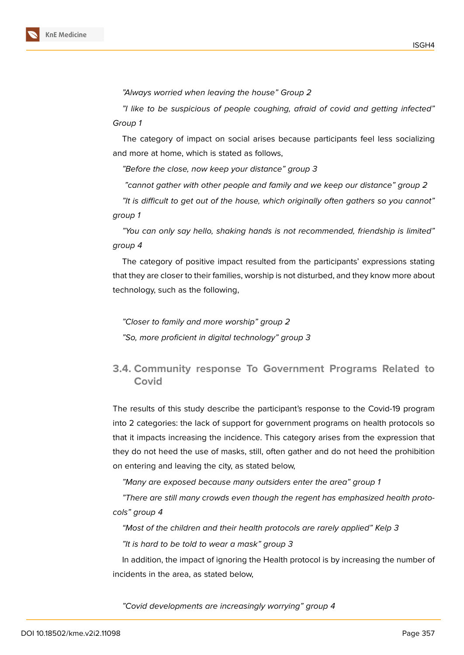

*"Always worried when leaving the house" Group 2*

*"I like to be suspicious of people coughing, afraid of covid and getting infected" Group 1*

The category of impact on social arises because participants feel less socializing and more at home, which is stated as follows,

*"Before the close, now keep your distance" group 3*

*"cannot gather with other people and family and we keep our distance" group 2*

*"It is difficult to get out of the house, which originally often gathers so you cannot" group 1*

*"You can only say hello, shaking hands is not recommended, friendship is limited" group 4*

The category of positive impact resulted from the participants' expressions stating that they are closer to their families, worship is not disturbed, and they know more about technology, such as the following,

*"Closer to family and more worship" group 2 "So, more proficient in digital technology" group 3*

## **3.4. Community response To Government Programs Related to Covid**

The results of this study describe the participant's response to the Covid-19 program into 2 categories: the lack of support for government programs on health protocols so that it impacts increasing the incidence. This category arises from the expression that they do not heed the use of masks, still, often gather and do not heed the prohibition on entering and leaving the city, as stated below,

*"Many are exposed because many outsiders enter the area" group 1*

*"There are still many crowds even though the regent has emphasized health protocols" group 4*

*"Most of the children and their health protocols are rarely applied" Kelp 3*

*"It is hard to be told to wear a mask" group 3*

In addition, the impact of ignoring the Health protocol is by increasing the number of incidents in the area, as stated below,

*"Covid developments are increasingly worrying" group 4*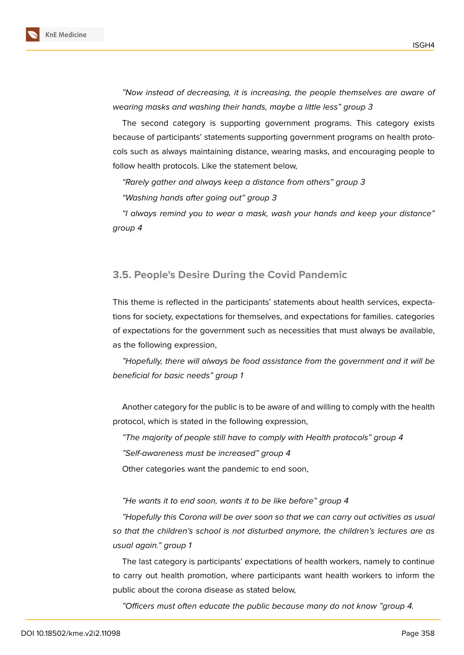

*"Now instead of decreasing, it is increasing, the people themselves are aware of wearing masks and washing their hands, maybe a little less" group 3*

The second category is supporting government programs. This category exists because of participants' statements supporting government programs on health protocols such as always maintaining distance, wearing masks, and encouraging people to follow health protocols. Like the statement below,

*"Rarely gather and always keep a distance from others" group 3 "Washing hands after going out" group 3*

*"I always remind you to wear a mask, wash your hands and keep your distance" group 4*

#### **3.5. People's Desire During the Covid Pandemic**

This theme is reflected in the participants' statements about health services, expectations for society, expectations for themselves, and expectations for families. categories of expectations for the government such as necessities that must always be available, as the following expression,

*"Hopefully, there will always be food assistance from the government and it will be beneficial for basic needs" group 1*

Another category for the public is to be aware of and willing to comply with the health protocol, which is stated in the following expression,

*"The majority of people still have to comply with Health protocols" group 4*

*"Self-awareness must be increased" group 4*

Other categories want the pandemic to end soon,

*"He wants it to end soon, wants it to be like before" group 4*

*"Hopefully this Corona will be over soon so that we can carry out activities as usual so that the children's school is not disturbed anymore, the children's lectures are as usual again." group 1*

The last category is participants' expectations of health workers, namely to continue to carry out health promotion, where participants want health workers to inform the public about the corona disease as stated below,

*"Officers must often educate the public because many do not know "group 4.*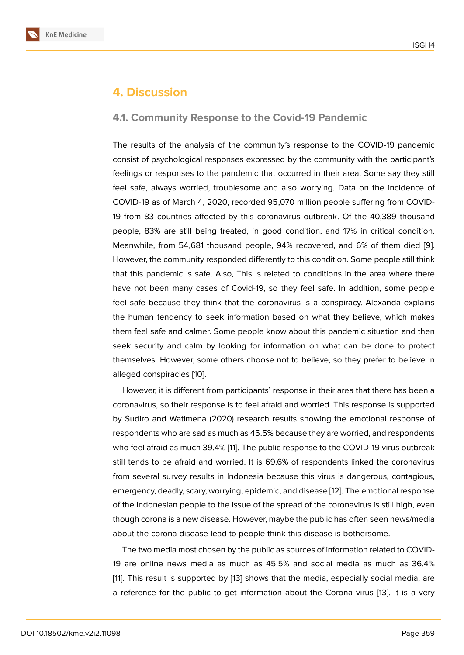#### **4. Discussion**

#### **4.1. Community Response to the Covid-19 Pandemic**

The results of the analysis of the community's response to the COVID-19 pandemic consist of psychological responses expressed by the community with the participant's feelings or responses to the pandemic that occurred in their area. Some say they still feel safe, always worried, troublesome and also worrying. Data on the incidence of COVID-19 as of March 4, 2020, recorded 95,070 million people suffering from COVID-19 from 83 countries affected by this coronavirus outbreak. Of the 40,389 thousand people, 83% are still being treated, in good condition, and 17% in critical condition. Meanwhile, from 54,681 thousand people, 94% recovered, and 6% of them died [9]. However, the community responded differently to this condition. Some people still think that this pandemic is safe. Also, This is related to conditions in the area where there have not been many cases of Covid-19, so they feel safe. In addition, some peo[ple](#page-14-2) feel safe because they think that the coronavirus is a conspiracy. Alexanda explains the human tendency to seek information based on what they believe, which makes them feel safe and calmer. Some people know about this pandemic situation and then seek security and calm by looking for information on what can be done to protect themselves. However, some others choose not to believe, so they prefer to believe in alleged conspiracies [10].

However, it is different from participants' response in their area that there has been a coronavirus, so their response is to feel afraid and worried. This response is supported by Sudiro and Watim[ena](#page-14-3) (2020) research results showing the emotional response of respondents who are sad as much as 45.5% because they are worried, and respondents who feel afraid as much 39.4% [11]. The public response to the COVID-19 virus outbreak still tends to be afraid and worried. It is 69.6% of respondents linked the coronavirus from several survey results in Indonesia because this virus is dangerous, contagious, emergency, deadly, scary, worry[in](#page-14-4)g, epidemic, and disease [12]. The emotional response of the Indonesian people to the issue of the spread of the coronavirus is still high, even though corona is a new disease. However, maybe the public has often seen news/media about the corona disease lead to people think this diseas[e is](#page-14-5) bothersome.

The two media most chosen by the public as sources of information related to COVID-19 are online news media as much as 45.5% and social media as much as 36.4% [11]. This result is supported by [13] shows that the media, especially social media, are a reference for the public to get information about the Corona virus [13]. It is a very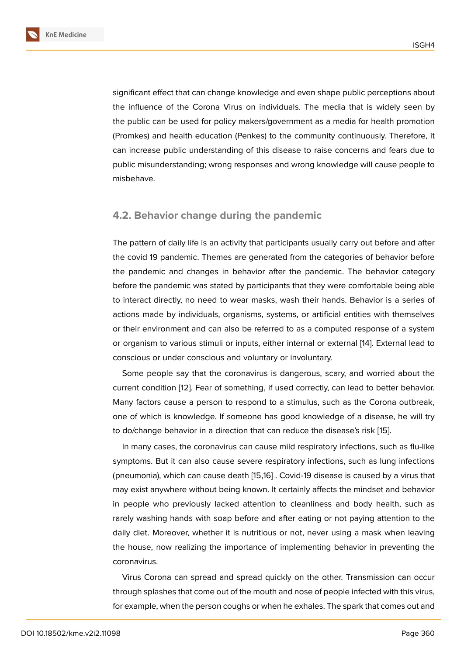significant effect that can change knowledge and even shape public perceptions about the influence of the Corona Virus on individuals. The media that is widely seen by the public can be used for policy makers/government as a media for health promotion (Promkes) and health education (Penkes) to the community continuously. Therefore, it can increase public understanding of this disease to raise concerns and fears due to public misunderstanding; wrong responses and wrong knowledge will cause people to misbehave.

#### **4.2. Behavior change during the pandemic**

The pattern of daily life is an activity that participants usually carry out before and after the covid 19 pandemic. Themes are generated from the categories of behavior before the pandemic and changes in behavior after the pandemic. The behavior category before the pandemic was stated by participants that they were comfortable being able to interact directly, no need to wear masks, wash their hands. Behavior is a series of actions made by individuals, organisms, systems, or artificial entities with themselves or their environment and can also be referred to as a computed response of a system or organism to various stimuli or inputs, either internal or external [14]. External lead to conscious or under conscious and voluntary or involuntary.

Some people say that the coronavirus is dangerous, scary, and worried about the current condition [12]. Fear of something, if used correctly, can lea[d to](#page-14-6) better behavior. Many factors cause a person to respond to a stimulus, such as the Corona outbreak, one of which is knowledge. If someone has good knowledge of a disease, he will try to do/change beh[avi](#page-14-5)or in a direction that can reduce the disease's risk [15].

In many cases, the coronavirus can cause mild respiratory infections, such as flu-like symptoms. But it can also cause severe respiratory infections, such as lung infections (pneumonia), which can cause death [15,16] . Covid-19 disease is cause[d by](#page-14-7) a virus that may exist anywhere without being known. It certainly affects the mindset and behavior in people who previously lacked attention to cleanliness and body health, such as rarely washing hands with soap before and after eating or not paying attention to the daily diet. Moreover, whether it is nutritious or not, never using a mask when leaving the house, now realizing the importance of implementing behavior in preventing the coronavirus.

Virus Corona can spread and spread quickly on the other. Transmission can occur through splashes that come out of the mouth and nose of people infected with this virus, for example, when the person coughs or when he exhales. The spark that comes out and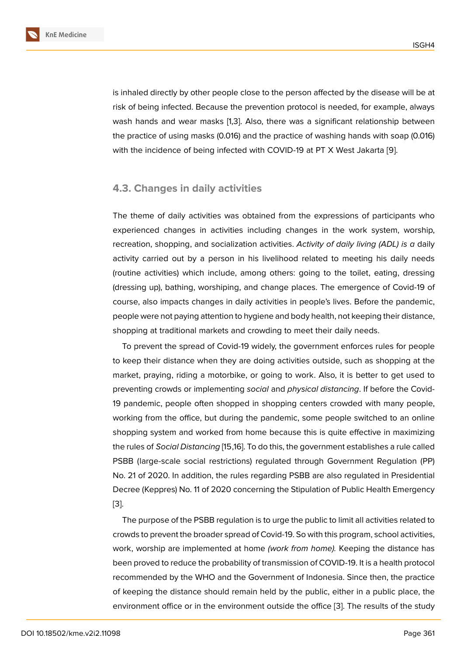is inhaled directly by other people close to the person affected by the disease will be at risk of being infected. Because the prevention protocol is needed, for example, always wash hands and wear masks [1,3]. Also, there was a significant relationship between the practice of using masks (0.016) and the practice of washing hands with soap (0.016) with the incidence of being infected with COVID-19 at PT X West Jakarta [9].

#### **4.3. Changes in daily activities**

The theme of daily activities was obtained from the expressions of participants who experienced changes in activities including changes in the work system, worship, recreation, shopping, and socialization activities. *Activity of daily living (ADL) is a* daily activity carried out by a person in his livelihood related to meeting his daily needs (routine activities) which include, among others: going to the toilet, eating, dressing (dressing up), bathing, worshiping, and change places. The emergence of Covid-19 of course, also impacts changes in daily activities in people's lives. Before the pandemic, people were not paying attention to hygiene and body health, not keeping their distance, shopping at traditional markets and crowding to meet their daily needs.

To prevent the spread of Covid-19 widely, the government enforces rules for people to keep their distance when they are doing activities outside, such as shopping at the market, praying, riding a motorbike, or going to work. Also, it is better to get used to preventing crowds or implementing *social* and *physical distancing*. If before the Covid-19 pandemic, people often shopped in shopping centers crowded with many people, working from the office, but during the pandemic, some people switched to an online shopping system and worked from home because this is quite effective in maximizing the rules of *Social Distancing* [15,16]. To do this, the government establishes a rule called PSBB (large-scale social restrictions) regulated through Government Regulation (PP) No. 21 of 2020. In addition, the rules regarding PSBB are also regulated in Presidential Decree (Keppres) No. 11 of 2020 concerning the Stipulation of Public Health Emergency [3].

The purpose of the PSBB regulation is to urge the public to limit all activities related to crowds to prevent the broader spread of Covid-19. So with this program, school activities, [wo](#page-13-1)rk, worship are implemented at home *(work from home).* Keeping the distance has been proved to reduce the probability of transmission of COVID-19. It is a health protocol recommended by the WHO and the Government of Indonesia. Since then, the practice of keeping the distance should remain held by the public, either in a public place, the environment office or in the environment outside the office [3]. The results of the study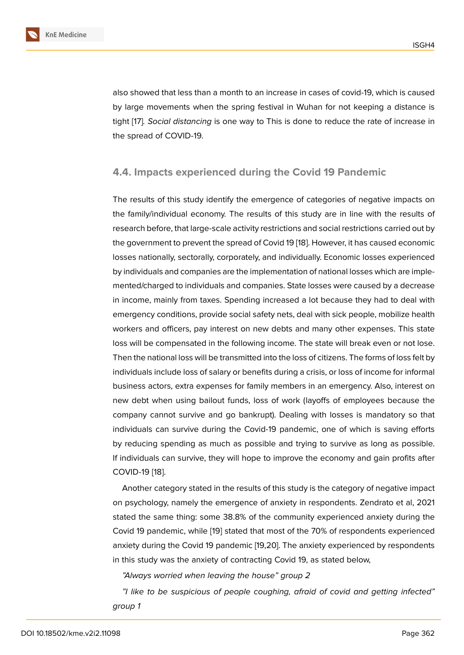also showed that less than a month to an increase in cases of covid-19, which is caused by large movements when the spring festival in Wuhan for not keeping a distance is tight [17]*. Social distancing* is one way to This is done to reduce the rate of increase in the spread of COVID-19.

#### **4.4. Impacts experienced during the Covid 19 Pandemic**

The results of this study identify the emergence of categories of negative impacts on the family/individual economy. The results of this study are in line with the results of research before, that large-scale activity restrictions and social restrictions carried out by the government to prevent the spread of Covid 19 [18]. However, it has caused economic losses nationally, sectorally, corporately, and individually. Economic losses experienced by individuals and companies are the implementation of national losses which are implemented/charged to individuals and companies. St[ate](#page-15-0) losses were caused by a decrease in income, mainly from taxes. Spending increased a lot because they had to deal with emergency conditions, provide social safety nets, deal with sick people, mobilize health workers and officers, pay interest on new debts and many other expenses. This state loss will be compensated in the following income. The state will break even or not lose. Then the national loss will be transmitted into the loss of citizens. The forms of loss felt by individuals include loss of salary or benefits during a crisis, or loss of income for informal business actors, extra expenses for family members in an emergency. Also, interest on new debt when using bailout funds, loss of work (layoffs of employees because the company cannot survive and go bankrupt). Dealing with losses is mandatory so that individuals can survive during the Covid-19 pandemic, one of which is saving efforts by reducing spending as much as possible and trying to survive as long as possible. If individuals can survive, they will hope to improve the economy and gain profits after COVID-19 [18].

Another category stated in the results of this study is the category of negative impact on psychology, namely the emergence of anxiety in respondents. Zendrato et al, 2021 stated the [sa](#page-15-0)me thing: some 38.8% of the community experienced anxiety during the Covid 19 pandemic, while [19] stated that most of the 70% of respondents experienced anxiety during the Covid 19 pandemic [19,20]. The anxiety experienced by respondents in this study was the anxiety of contracting Covid 19, as stated below,

*"Always worried when l[eav](#page-15-1)ing the house" group 2*

*"I like to be suspicious of people coughing, afraid of covid and getting infected" group 1*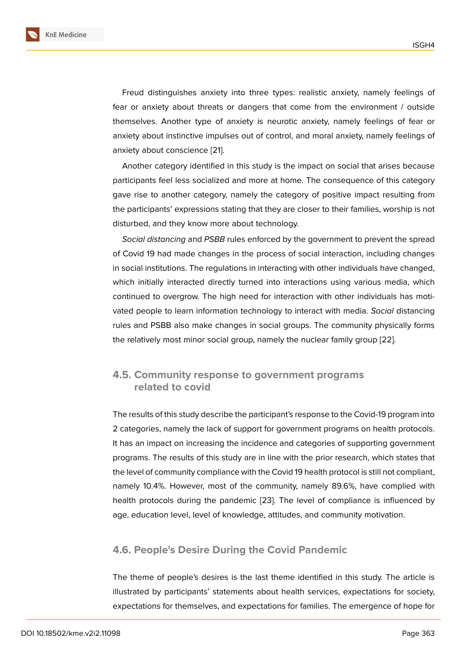Freud distinguishes anxiety into three types: realistic anxiety, namely feelings of fear or anxiety about threats or dangers that come from the environment / outside themselves. Another type of anxiety is neurotic anxiety, namely feelings of fear or anxiety about instinctive impulses out of control, and moral anxiety, namely feelings of anxiety about conscience [21].

Another category identified in this study is the impact on social that arises because participants feel less socialized and more at home. The consequence of this category gave rise to another cate[gor](#page-15-2)y, namely the category of positive impact resulting from the participants' expressions stating that they are closer to their families, worship is not disturbed, and they know more about technology.

*Social distancing* and *PSBB* rules enforced by the government to prevent the spread of Covid 19 had made changes in the process of social interaction, including changes in social institutions. The regulations in interacting with other individuals have changed, which initially interacted directly turned into interactions using various media, which continued to overgrow. The high need for interaction with other individuals has motivated people to learn information technology to interact with media. *Social* distancing rules and PSBB also make changes in social groups. The community physically forms the relatively most minor social group, namely the nuclear family group [22].

#### **4.5. Community response to government programs related to covid**

The results of this study describe the participant's response to the Covid-19 program into 2 categories, namely the lack of support for government programs on health protocols. It has an impact on increasing the incidence and categories of supporting government programs. The results of this study are in line with the prior research, which states that the level of community compliance with the Covid 19 health protocol is still not compliant, namely 10.4%. However, most of the community, namely 89.6%, have complied with health protocols during the pandemic [23]. The level of compliance is influenced by age, education level, level of knowledge, attitudes, and community motivation.

#### **4.6. People's Desire During the Covid Pandemic**

The theme of people's desires is the last theme identified in this study. The article is illustrated by participants' statements about health services, expectations for society, expectations for themselves, and expectations for families. The emergence of hope for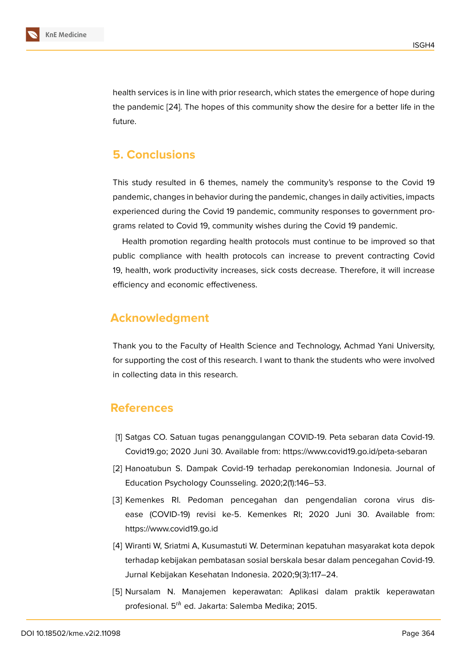health services is in line with prior research, which states the emergence of hope during the pandemic [24]. The hopes of this community show the desire for a better life in the future.

## **5. Conclu[sio](#page-15-3)ns**

This study resulted in 6 themes, namely the community's response to the Covid 19 pandemic, changes in behavior during the pandemic, changes in daily activities, impacts experienced during the Covid 19 pandemic, community responses to government programs related to Covid 19, community wishes during the Covid 19 pandemic.

Health promotion regarding health protocols must continue to be improved so that public compliance with health protocols can increase to prevent contracting Covid 19, health, work productivity increases, sick costs decrease. Therefore, it will increase efficiency and economic effectiveness.

## **Acknowledgment**

Thank you to the Faculty of Health Science and Technology, Achmad Yani University, for supporting the cost of this research. I want to thank the students who were involved in collecting data in this research.

## **References**

- [1] Satgas CO. Satuan tugas penanggulangan COVID-19. Peta sebaran data Covid-19. Covid19.go; 2020 Juni 30. Available from: https://www.covid19.go.id/peta-sebaran
- <span id="page-13-0"></span>[2] Hanoatubun S. Dampak Covid-19 terhadap perekonomian Indonesia. Journal of Education Psychology Counsseling. 2020;2(1):146–53.
- [3] Kemenkes RI. Pedoman pencegahan dan pengendalian corona virus disease (COVID-19) revisi ke-5. Kemenkes RI; 2020 Juni 30. Available from: https://www.covid19.go.id
- <span id="page-13-1"></span>[4] Wiranti W, Sriatmi A, Kusumastuti W. Determinan kepatuhan masyarakat kota depok terhadap kebijakan pembatasan sosial berskala besar dalam pencegahan Covid-19. Jurnal Kebijakan Kesehatan Indonesia. 2020;9(3):117–24.
- <span id="page-13-3"></span><span id="page-13-2"></span>[5] Nursalam N. Manajemen keperawatan: Aplikasi dalam praktik keperawatan profesional.  $5^{th}$  ed. Jakarta: Salemba Medika; 2015.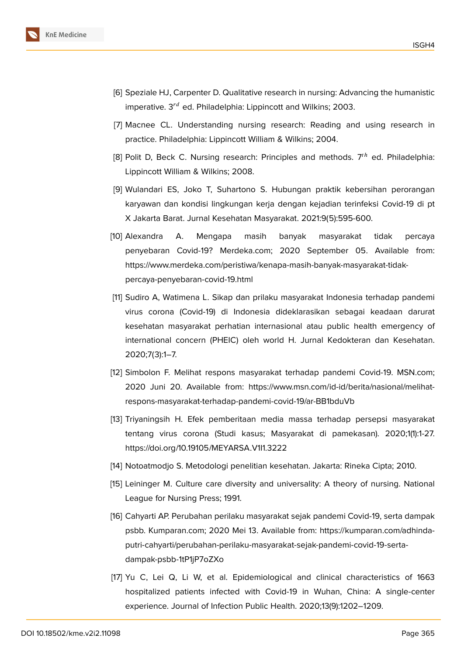

- <span id="page-14-0"></span>[6] Speziale HJ, Carpenter D. Qualitative research in nursing: Advancing the humanistic imperative.  $3^{rd}$  ed. Philadelphia: Lippincott and Wilkins: 2003.
- <span id="page-14-1"></span>[7] Macnee CL. Understanding nursing research: Reading and using research in practice. Philadelphia: Lippincott William & Wilkins; 2004.
- [8] Polit D, Beck C. Nursing research: Principles and methods.  $7<sup>th</sup>$  ed. Philadelphia: Lippincott William & Wilkins; 2008.
- <span id="page-14-2"></span>[9] Wulandari ES, Joko T, Suhartono S. Hubungan praktik kebersihan perorangan karyawan dan kondisi lingkungan kerja dengan kejadian terinfeksi Covid-19 di pt X Jakarta Barat. Jurnal Kesehatan Masyarakat. 2021:9(5):595-600.
- <span id="page-14-3"></span>[10] Alexandra A. Mengapa masih banyak masyarakat tidak percaya penyebaran Covid-19? Merdeka.com; 2020 September 05. Available from: https://www.merdeka.com/peristiwa/kenapa-masih-banyak-masyarakat-tidakpercaya-penyebaran-covid-19.html
- <span id="page-14-4"></span>[11] Sudiro A, Watimena L. Sikap dan prilaku masyarakat Indonesia terhadap pandemi virus corona (Covid-19) di Indonesia dideklarasikan sebagai keadaan darurat kesehatan masyarakat perhatian internasional atau public health emergency of international concern (PHEIC) oleh world H. Jurnal Kedokteran dan Kesehatan. 2020;7(3):1–7.
- <span id="page-14-5"></span>[12] Simbolon F. Melihat respons masyarakat terhadap pandemi Covid-19. MSN.com; 2020 Juni 20. Available from: https://www.msn.com/id-id/berita/nasional/melihatrespons-masyarakat-terhadap-pandemi-covid-19/ar-BB1bduVb
- [13] Triyaningsih H. Efek pemberitaan media massa terhadap persepsi masyarakat tentang virus corona (Studi kasus; Masyarakat di pamekasan). 2020;1(1):1-27. https://doi.org/10.19105/MEYARSA.V1I1.3222
- <span id="page-14-6"></span>[14] Notoatmodjo S. Metodologi penelitian kesehatan. Jakarta: Rineka Cipta; 2010.
- <span id="page-14-7"></span>[15] Leininger M. Culture care diversity and universality: A theory of nursing. National League for Nursing Press; 1991.
- [16] Cahyarti AP. Perubahan perilaku masyarakat sejak pandemi Covid-19, serta dampak psbb. Kumparan.com; 2020 Mei 13. Available from: https://kumparan.com/adhindaputri-cahyarti/perubahan-perilaku-masyarakat-sejak-pandemi-covid-19-sertadampak-psbb-1tP1jP7oZXo
- [17] Yu C, Lei Q, Li W, et al. Epidemiological and clinical characteristics of 1663 hospitalized patients infected with Covid-19 in Wuhan, China: A single-center experience. Journal of Infection Public Health. 2020;13(9):1202–1209.